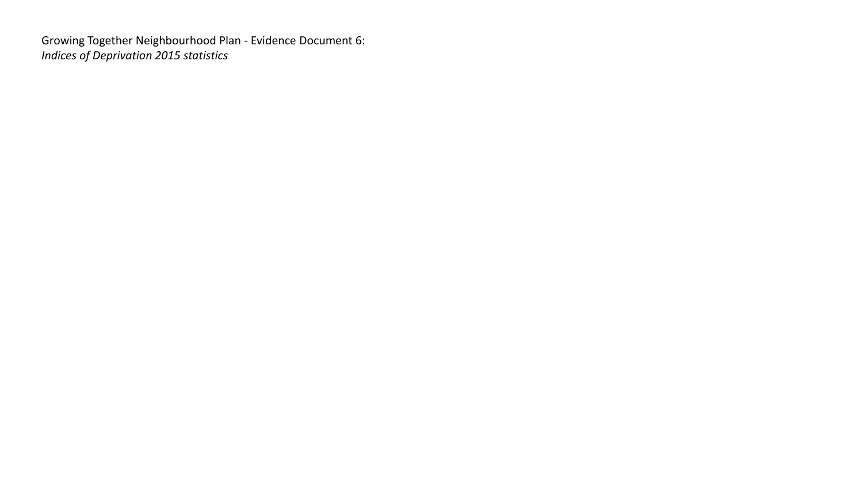Growing Together Neighbourhood Plan - Evidence Document 6: *Indices of Deprivation 2015 statistics*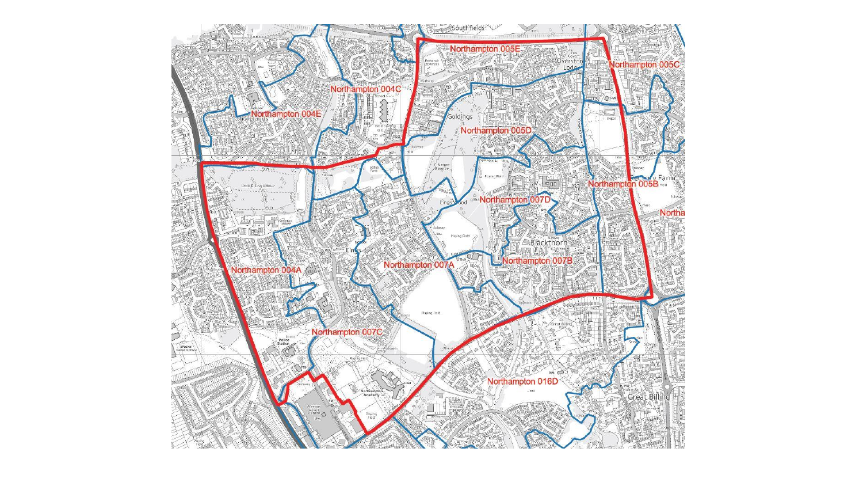